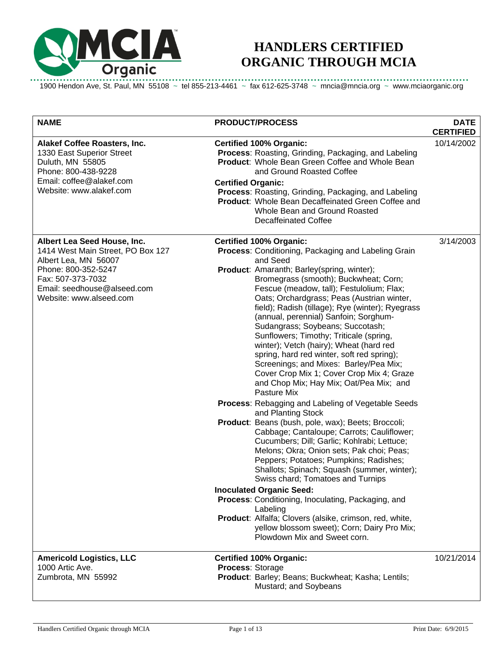

## **HANDLERS CERTIFIED ORGANIC THROUGH MCIA**

1900 Hendon Ave, St. Paul, MN 55108 ~ tel 855-213-4461 ~ fax 612-625-3748 ~ mncia@mncia.org ~ www.mciaorganic.org

| <b>NAME</b>                                                                                                                                                                                    | <b>PRODUCT/PROCESS</b>                                                                                                                                                                                                                                                                                                                                                                                                                                                                                                                                                                                                                                                                                                                                                                                                                                                                                                                                                                                                                                                                                                                                                                                                                                                                     | <b>DATE</b><br><b>CERTIFIED</b> |
|------------------------------------------------------------------------------------------------------------------------------------------------------------------------------------------------|--------------------------------------------------------------------------------------------------------------------------------------------------------------------------------------------------------------------------------------------------------------------------------------------------------------------------------------------------------------------------------------------------------------------------------------------------------------------------------------------------------------------------------------------------------------------------------------------------------------------------------------------------------------------------------------------------------------------------------------------------------------------------------------------------------------------------------------------------------------------------------------------------------------------------------------------------------------------------------------------------------------------------------------------------------------------------------------------------------------------------------------------------------------------------------------------------------------------------------------------------------------------------------------------|---------------------------------|
| Alakef Coffee Roasters, Inc.<br>1330 East Superior Street<br>Duluth, MN 55805<br>Phone: 800-438-9228<br>Email: coffee@alakef.com<br>Website: www.alakef.com                                    | <b>Certified 100% Organic:</b><br>Process: Roasting, Grinding, Packaging, and Labeling<br><b>Product:</b> Whole Bean Green Coffee and Whole Bean<br>and Ground Roasted Coffee<br><b>Certified Organic:</b><br>Process: Roasting, Grinding, Packaging, and Labeling<br><b>Product:</b> Whole Bean Decaffeinated Green Coffee and<br>Whole Bean and Ground Roasted<br>Decaffeinated Coffee                                                                                                                                                                                                                                                                                                                                                                                                                                                                                                                                                                                                                                                                                                                                                                                                                                                                                                   | 10/14/2002                      |
| Albert Lea Seed House, Inc.<br>1414 West Main Street, PO Box 127<br>Albert Lea, MN 56007<br>Phone: 800-352-5247<br>Fax: 507-373-7032<br>Email: seedhouse@alseed.com<br>Website: www.alseed.com | <b>Certified 100% Organic:</b><br>Process: Conditioning, Packaging and Labeling Grain<br>and Seed<br>Product: Amaranth; Barley(spring, winter);<br>Bromegrass (smooth); Buckwheat; Corn;<br>Fescue (meadow, tall); Festulolium; Flax;<br>Oats; Orchardgrass; Peas (Austrian winter,<br>field); Radish (tillage); Rye (winter); Ryegrass<br>(annual, perennial) Sanfoin; Sorghum-<br>Sudangrass; Soybeans; Succotash;<br>Sunflowers; Timothy; Triticale (spring,<br>winter); Vetch (hairy); Wheat (hard red<br>spring, hard red winter, soft red spring);<br>Screenings; and Mixes: Barley/Pea Mix;<br>Cover Crop Mix 1; Cover Crop Mix 4; Graze<br>and Chop Mix; Hay Mix; Oat/Pea Mix; and<br>Pasture Mix<br><b>Process: Rebagging and Labeling of Vegetable Seeds</b><br>and Planting Stock<br>Product: Beans (bush, pole, wax); Beets; Broccoli;<br>Cabbage; Cantaloupe; Carrots; Cauliflower;<br>Cucumbers; Dill; Garlic; Kohlrabi; Lettuce;<br>Melons; Okra; Onion sets; Pak choi; Peas;<br>Peppers; Potatoes; Pumpkins; Radishes;<br>Shallots; Spinach; Squash (summer, winter);<br>Swiss chard; Tomatoes and Turnips<br><b>Inoculated Organic Seed:</b><br>Process: Conditioning, Inoculating, Packaging, and<br>Labeling<br>Product: Alfalfa; Clovers (alsike, crimson, red, white, | 3/14/2003                       |
| <b>Americold Logistics, LLC</b>                                                                                                                                                                | yellow blossom sweet); Corn; Dairy Pro Mix;<br>Plowdown Mix and Sweet corn.<br><b>Certified 100% Organic:</b>                                                                                                                                                                                                                                                                                                                                                                                                                                                                                                                                                                                                                                                                                                                                                                                                                                                                                                                                                                                                                                                                                                                                                                              | 10/21/2014                      |
| 1000 Artic Ave.<br>Zumbrota, MN 55992                                                                                                                                                          | Process: Storage<br>Product: Barley; Beans; Buckwheat; Kasha; Lentils;<br>Mustard; and Soybeans                                                                                                                                                                                                                                                                                                                                                                                                                                                                                                                                                                                                                                                                                                                                                                                                                                                                                                                                                                                                                                                                                                                                                                                            |                                 |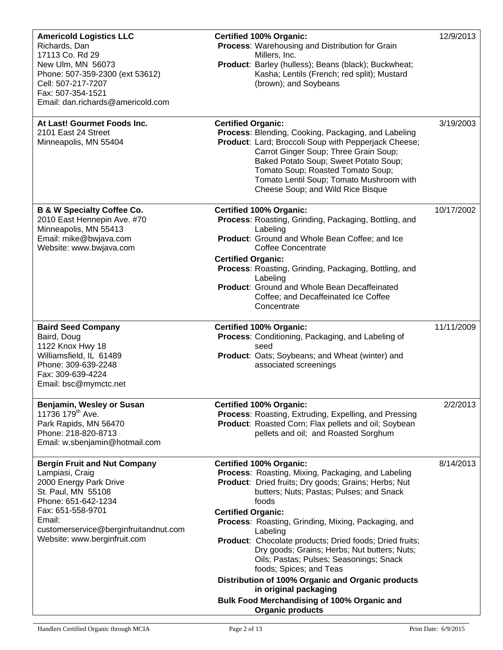| <b>Americold Logistics LLC</b><br>Richards, Dan<br>17113 Co. Rd 29<br>New Ulm, MN 56073<br>Phone: 507-359-2300 (ext 53612)<br>Cell: 507-217-7207<br>Fax: 507-354-1521<br>Email: dan.richards@americold.com                            | <b>Certified 100% Organic:</b><br>Process: Warehousing and Distribution for Grain<br>Millers, Inc.<br>Product: Barley (hulless); Beans (black); Buckwheat;<br>Kasha; Lentils (French; red split); Mustard<br>(brown); and Soybeans                                                                                                                                                                                                                                                                                                                                                                                                         | 12/9/2013  |
|---------------------------------------------------------------------------------------------------------------------------------------------------------------------------------------------------------------------------------------|--------------------------------------------------------------------------------------------------------------------------------------------------------------------------------------------------------------------------------------------------------------------------------------------------------------------------------------------------------------------------------------------------------------------------------------------------------------------------------------------------------------------------------------------------------------------------------------------------------------------------------------------|------------|
| At Last! Gourmet Foods Inc.<br>2101 East 24 Street<br>Minneapolis, MN 55404                                                                                                                                                           | <b>Certified Organic:</b><br>Process: Blending, Cooking, Packaging, and Labeling<br>Product: Lard; Broccoli Soup with Pepperjack Cheese;<br>Carrot Ginger Soup; Three Grain Soup;<br>Baked Potato Soup; Sweet Potato Soup;<br>Tomato Soup; Roasted Tomato Soup;<br>Tomato Lentil Soup; Tomato Mushroom with<br>Cheese Soup; and Wild Rice Bisque                                                                                                                                                                                                                                                                                           | 3/19/2003  |
| <b>B &amp; W Specialty Coffee Co.</b><br>2010 East Hennepin Ave. #70<br>Minneapolis, MN 55413<br>Email: mike@bwjava.com<br>Website: www.bwjava.com                                                                                    | <b>Certified 100% Organic:</b><br>Process: Roasting, Grinding, Packaging, Bottling, and<br>Labeling<br>Product: Ground and Whole Bean Coffee; and Ice<br><b>Coffee Concentrate</b><br><b>Certified Organic:</b><br>Process: Roasting, Grinding, Packaging, Bottling, and<br>Labeling<br>Product: Ground and Whole Bean Decaffeinated<br>Coffee; and Decaffeinated Ice Coffee<br>Concentrate                                                                                                                                                                                                                                                | 10/17/2002 |
| <b>Baird Seed Company</b><br>Baird, Doug<br>1122 Knox Hwy 18<br>Williamsfield, IL 61489<br>Phone: 309-639-2248<br>Fax: 309-639-4224<br>Email: bsc@mymctc.net                                                                          | <b>Certified 100% Organic:</b><br>Process: Conditioning, Packaging, and Labeling of<br>seed<br>Product: Oats; Soybeans; and Wheat (winter) and<br>associated screenings                                                                                                                                                                                                                                                                                                                                                                                                                                                                    | 11/11/2009 |
| Benjamin, Wesley or Susan<br>11736 179 <sup>th</sup> Ave.<br>Park Rapids, MN 56470<br>Phone: 218-820-8713<br>Email: w.sbenjamin@hotmail.com                                                                                           | <b>Certified 100% Organic:</b><br>Process: Roasting, Extruding, Expelling, and Pressing<br>Product: Roasted Corn; Flax pellets and oil; Soybean<br>pellets and oil; and Roasted Sorghum                                                                                                                                                                                                                                                                                                                                                                                                                                                    | 2/2/2013   |
| <b>Bergin Fruit and Nut Company</b><br>Lampiasi, Craig<br>2000 Energy Park Drive<br>St. Paul, MN 55108<br>Phone: 651-642-1234<br>Fax: 651-558-9701<br>Email:<br>customerservice@berginfruitandnut.com<br>Website: www.berginfruit.com | <b>Certified 100% Organic:</b><br>Process: Roasting, Mixing, Packaging, and Labeling<br>Product: Dried fruits; Dry goods; Grains; Herbs; Nut<br>butters; Nuts; Pastas; Pulses; and Snack<br>foods<br><b>Certified Organic:</b><br>Process: Roasting, Grinding, Mixing, Packaging, and<br>Labeling<br>Product: Chocolate products; Dried foods; Dried fruits;<br>Dry goods; Grains; Herbs; Nut butters; Nuts;<br>Oils; Pastas; Pulses; Seasonings; Snack<br>foods; Spices; and Teas<br>Distribution of 100% Organic and Organic products<br>in original packaging<br>Bulk Food Merchandising of 100% Organic and<br><b>Organic products</b> | 8/14/2013  |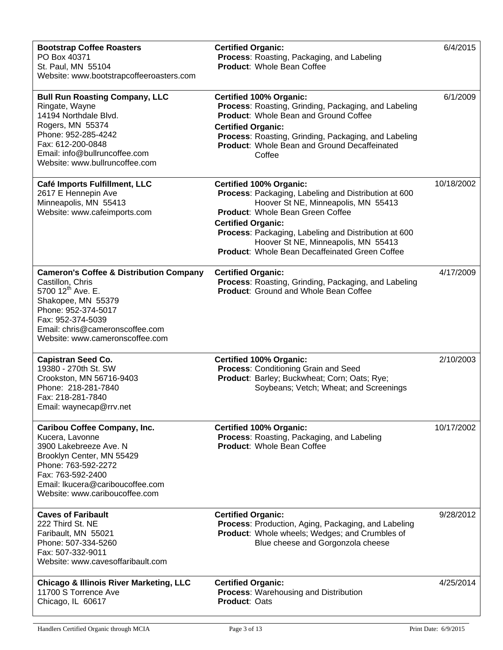| <b>Bootstrap Coffee Roasters</b><br>PO Box 40371<br>St. Paul, MN 55104<br>Website: www.bootstrapcoffeeroasters.com                                                                                                                              | <b>Certified Organic:</b><br>Process: Roasting, Packaging, and Labeling<br>Product: Whole Bean Coffee                                                                                                                                                                                                                                                  | 6/4/2015   |
|-------------------------------------------------------------------------------------------------------------------------------------------------------------------------------------------------------------------------------------------------|--------------------------------------------------------------------------------------------------------------------------------------------------------------------------------------------------------------------------------------------------------------------------------------------------------------------------------------------------------|------------|
| <b>Bull Run Roasting Company, LLC</b><br>Ringate, Wayne<br>14194 Northdale Blvd.<br>Rogers, MN 55374<br>Phone: 952-285-4242<br>Fax: 612-200-0848<br>Email: info@bullruncoffee.com<br>Website: www.bullruncoffee.com                             | <b>Certified 100% Organic:</b><br>Process: Roasting, Grinding, Packaging, and Labeling<br><b>Product: Whole Bean and Ground Coffee</b><br><b>Certified Organic:</b><br>Process: Roasting, Grinding, Packaging, and Labeling<br><b>Product:</b> Whole Bean and Ground Decaffeinated<br>Coffee                                                           | 6/1/2009   |
| Café Imports Fulfillment, LLC<br>2617 E Hennepin Ave<br>Minneapolis, MN 55413<br>Website: www.cafeimports.com                                                                                                                                   | <b>Certified 100% Organic:</b><br>Process: Packaging, Labeling and Distribution at 600<br>Hoover St NE, Minneapolis, MN 55413<br>Product: Whole Bean Green Coffee<br><b>Certified Organic:</b><br>Process: Packaging, Labeling and Distribution at 600<br>Hoover St NE, Minneapolis, MN 55413<br><b>Product: Whole Bean Decaffeinated Green Coffee</b> | 10/18/2002 |
| <b>Cameron's Coffee &amp; Distribution Company</b><br>Castillon, Chris<br>5700 12 <sup>th</sup> Ave. E.<br>Shakopee, MN 55379<br>Phone: 952-374-5017<br>Fax: 952-374-5039<br>Email: chris@cameronscoffee.com<br>Website: www.cameronscoffee.com | <b>Certified Organic:</b><br>Process: Roasting, Grinding, Packaging, and Labeling<br>Product: Ground and Whole Bean Coffee                                                                                                                                                                                                                             | 4/17/2009  |
| <b>Capistran Seed Co.</b><br>19380 - 270th St. SW<br>Crookston, MN 56716-9403<br>Phone: 218-281-7840<br>Fax: 218-281-7840<br>Email: waynecap@rrv.net                                                                                            | <b>Certified 100% Organic:</b><br>Process: Conditioning Grain and Seed<br>Product: Barley; Buckwheat; Corn; Oats; Rye;<br>Soybeans; Vetch; Wheat; and Screenings                                                                                                                                                                                       | 2/10/2003  |
| <b>Caribou Coffee Company, Inc.</b><br>Kucera, Lavonne<br>3900 Lakebreeze Ave. N<br>Brooklyn Center, MN 55429<br>Phone: 763-592-2272<br>Fax: 763-592-2400<br>Email: Ikucera@cariboucoffee.com<br>Website: www.cariboucoffee.com                 | <b>Certified 100% Organic:</b><br>Process: Roasting, Packaging, and Labeling<br><b>Product: Whole Bean Coffee</b>                                                                                                                                                                                                                                      | 10/17/2002 |
| <b>Caves of Faribault</b><br>222 Third St. NE<br>Faribault, MN 55021<br>Phone: 507-334-5260<br>Fax: 507-332-9011<br>Website: www.cavesoffaribault.com                                                                                           | <b>Certified Organic:</b><br>Process: Production, Aging, Packaging, and Labeling<br><b>Product:</b> Whole wheels; Wedges; and Crumbles of<br>Blue cheese and Gorgonzola cheese                                                                                                                                                                         | 9/28/2012  |
| <b>Chicago &amp; Illinois River Marketing, LLC</b><br>11700 S Torrence Ave<br>Chicago, IL 60617                                                                                                                                                 | <b>Certified Organic:</b><br><b>Process: Warehousing and Distribution</b><br><b>Product: Oats</b>                                                                                                                                                                                                                                                      | 4/25/2014  |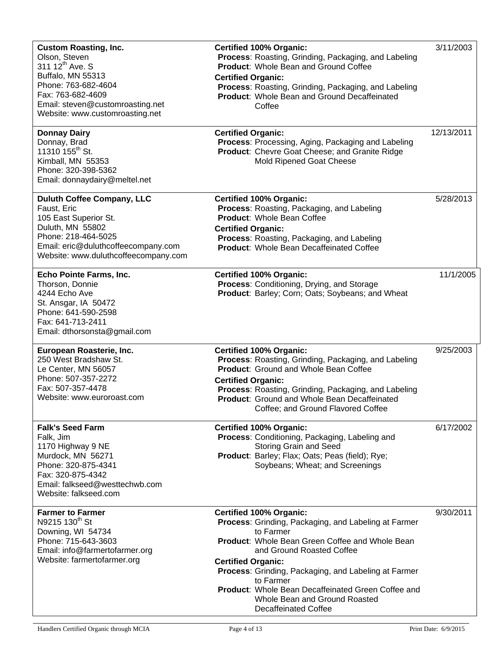| <b>Custom Roasting, Inc.</b><br>Olson, Steven<br>311 12 <sup>th</sup> Ave. S<br>Buffalo, MN 55313<br>Phone: 763-682-4604<br>Fax: 763-682-4609<br>Email: steven@customroasting.net<br>Website: www.customroasting.net | <b>Certified 100% Organic:</b><br>Process: Roasting, Grinding, Packaging, and Labeling<br>Product: Whole Bean and Ground Coffee<br><b>Certified Organic:</b><br>Process: Roasting, Grinding, Packaging, and Labeling<br><b>Product:</b> Whole Bean and Ground Decaffeinated<br>Coffee                                                                                                                                     | 3/11/2003  |
|----------------------------------------------------------------------------------------------------------------------------------------------------------------------------------------------------------------------|---------------------------------------------------------------------------------------------------------------------------------------------------------------------------------------------------------------------------------------------------------------------------------------------------------------------------------------------------------------------------------------------------------------------------|------------|
| <b>Donnay Dairy</b><br>Donnay, Brad<br>11310 155 <sup>th</sup> St.<br>Kimball, MN 55353<br>Phone: 320-398-5362<br>Email: donnaydairy@meltel.net                                                                      | <b>Certified Organic:</b><br><b>Process: Processing, Aging, Packaging and Labeling</b><br>Product: Chevre Goat Cheese; and Granite Ridge<br>Mold Ripened Goat Cheese                                                                                                                                                                                                                                                      | 12/13/2011 |
| <b>Duluth Coffee Company, LLC</b><br>Faust, Eric<br>105 East Superior St.<br>Duluth, MN 55802<br>Phone: 218-464-5025<br>Email: eric@duluthcoffeecompany.com<br>Website: www.duluthcoffeecompany.com                  | <b>Certified 100% Organic:</b><br>Process: Roasting, Packaging, and Labeling<br><b>Product: Whole Bean Coffee</b><br><b>Certified Organic:</b><br>Process: Roasting, Packaging, and Labeling<br><b>Product: Whole Bean Decaffeinated Coffee</b>                                                                                                                                                                           | 5/28/2013  |
| Echo Pointe Farms, Inc.<br>Thorson, Donnie<br>4244 Echo Ave<br>St. Ansgar, IA 50472<br>Phone: 641-590-2598<br>Fax: 641-713-2411<br>Email: dthorsonsta@gmail.com                                                      | <b>Certified 100% Organic:</b><br>Process: Conditioning, Drying, and Storage<br>Product: Barley; Corn; Oats; Soybeans; and Wheat                                                                                                                                                                                                                                                                                          | 11/1/2005  |
| European Roasterie, Inc.<br>250 West Bradshaw St.<br>Le Center, MN 56057<br>Phone: 507-357-2272<br>Fax: 507-357-4478<br>Website: www.euroroast.com                                                                   | <b>Certified 100% Organic:</b><br>Process: Roasting, Grinding, Packaging, and Labeling<br>Product: Ground and Whole Bean Coffee<br><b>Certified Organic:</b><br>Process: Roasting, Grinding, Packaging, and Labeling<br><b>Product:</b> Ground and Whole Bean Decaffeinated<br>Coffee; and Ground Flavored Coffee                                                                                                         | 9/25/2003  |
| <b>Falk's Seed Farm</b><br>Falk, Jim<br>1170 Highway 9 NE<br>Murdock, MN 56271<br>Phone: 320-875-4341<br>Fax: 320-875-4342<br>Email: falkseed@westtechwb.com<br>Website: falkseed.com                                | <b>Certified 100% Organic:</b><br>Process: Conditioning, Packaging, Labeling and<br>Storing Grain and Seed<br>Product: Barley; Flax; Oats; Peas (field); Rye;<br>Soybeans; Wheat; and Screenings                                                                                                                                                                                                                          | 6/17/2002  |
| <b>Farmer to Farmer</b><br>N9215 130 <sup>th</sup> St<br>Downing, WI 54734<br>Phone: 715-643-3603<br>Email: info@farmertofarmer.org<br>Website: farmertofarmer.org                                                   | <b>Certified 100% Organic:</b><br>Process: Grinding, Packaging, and Labeling at Farmer<br>to Farmer<br><b>Product:</b> Whole Bean Green Coffee and Whole Bean<br>and Ground Roasted Coffee<br><b>Certified Organic:</b><br>Process: Grinding, Packaging, and Labeling at Farmer<br>to Farmer<br><b>Product:</b> Whole Bean Decaffeinated Green Coffee and<br>Whole Bean and Ground Roasted<br><b>Decaffeinated Coffee</b> | 9/30/2011  |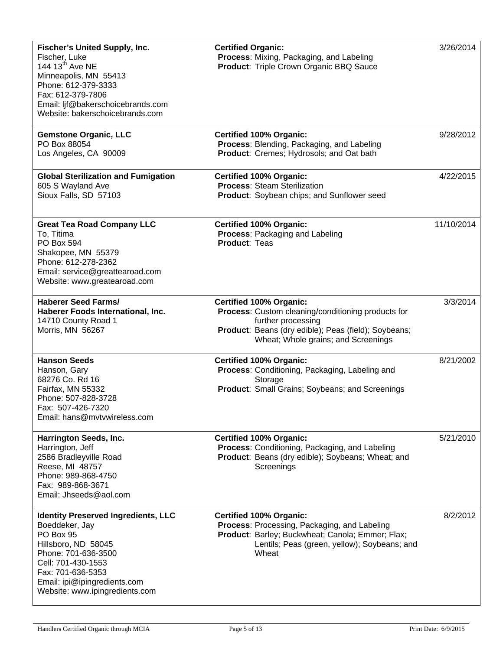| Fischer's United Supply, Inc.<br>Fischer, Luke<br>144 13 <sup>th</sup> Ave NE<br>Minneapolis, MN 55413<br>Phone: 612-379-3333<br>Fax: 612-379-7806<br>Email: ljf@bakerschoicebrands.com<br>Website: bakerschoicebrands.com           | <b>Certified Organic:</b><br>Process: Mixing, Packaging, and Labeling<br>Product: Triple Crown Organic BBQ Sauce                                                                                          | 3/26/2014  |
|--------------------------------------------------------------------------------------------------------------------------------------------------------------------------------------------------------------------------------------|-----------------------------------------------------------------------------------------------------------------------------------------------------------------------------------------------------------|------------|
| <b>Gemstone Organic, LLC</b><br>PO Box 88054<br>Los Angeles, CA 90009                                                                                                                                                                | <b>Certified 100% Organic:</b><br>Process: Blending, Packaging, and Labeling<br>Product: Cremes; Hydrosols; and Oat bath                                                                                  | 9/28/2012  |
| <b>Global Sterilization and Fumigation</b><br>605 S Wayland Ave<br>Sioux Falls, SD 57103                                                                                                                                             | <b>Certified 100% Organic:</b><br><b>Process: Steam Sterilization</b><br>Product: Soybean chips; and Sunflower seed                                                                                       | 4/22/2015  |
| <b>Great Tea Road Company LLC</b><br>To, Titima<br>PO Box 594<br>Shakopee, MN 55379<br>Phone: 612-278-2362<br>Email: service@greattearoad.com<br>Website: www.greatearoad.com                                                        | <b>Certified 100% Organic:</b><br><b>Process: Packaging and Labeling</b><br><b>Product: Teas</b>                                                                                                          | 11/10/2014 |
| <b>Haberer Seed Farms/</b><br>Haberer Foods International, Inc.<br>14710 County Road 1<br>Morris, MN 56267                                                                                                                           | <b>Certified 100% Organic:</b><br>Process: Custom cleaning/conditioning products for<br>further processing<br>Product: Beans (dry edible); Peas (field); Soybeans;<br>Wheat; Whole grains; and Screenings | 3/3/2014   |
| <b>Hanson Seeds</b><br>Hanson, Gary<br>68276 Co. Rd 16<br>Fairfax, MN 55332<br>Phone: 507-828-3728<br>Fax: 507-426-7320<br>Email: hans@mytywireless.com                                                                              | <b>Certified 100% Organic:</b><br>Process: Conditioning, Packaging, Labeling and<br>Storage<br><b>Product:</b> Small Grains; Soybeans; and Screenings                                                     | 8/21/2002  |
| Harrington Seeds, Inc.<br>Harrington, Jeff<br>2586 Bradleyville Road<br>Reese, MI 48757<br>Phone: 989-868-4750<br>Fax: 989-868-3671<br>Email: Jhseeds@aol.com                                                                        | <b>Certified 100% Organic:</b><br>Process: Conditioning, Packaging, and Labeling<br>Product: Beans (dry edible); Soybeans; Wheat; and<br>Screenings                                                       | 5/21/2010  |
| <b>Identity Preserved Ingredients, LLC</b><br>Boeddeker, Jay<br>PO Box 95<br>Hillsboro, ND 58045<br>Phone: 701-636-3500<br>Cell: 701-430-1553<br>Fax: 701-636-5353<br>Email: ipi@ipingredients.com<br>Website: www.ipingredients.com | <b>Certified 100% Organic:</b><br>Process: Processing, Packaging, and Labeling<br>Product: Barley; Buckwheat; Canola; Emmer; Flax;<br>Lentils; Peas (green, yellow); Soybeans; and<br>Wheat               | 8/2/2012   |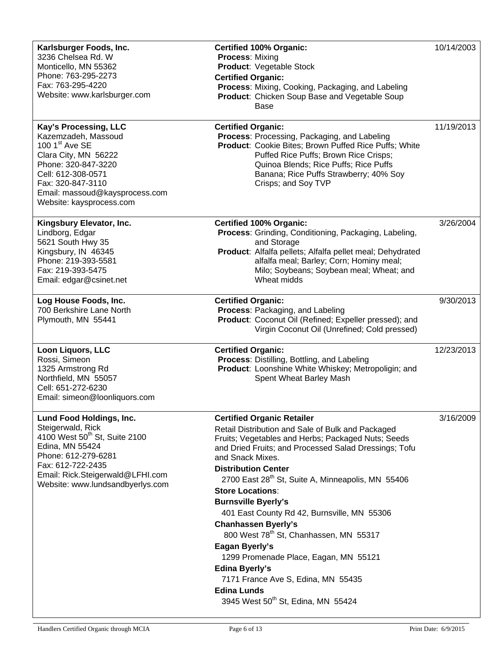| Karlsburger Foods, Inc.<br>3236 Chelsea Rd. W<br>Monticello, MN 55362<br>Phone: 763-295-2273<br>Fax: 763-295-4220<br>Website: www.karlsburger.com                                                                                 | <b>Certified 100% Organic:</b><br><b>Process: Mixing</b><br><b>Product: Vegetable Stock</b><br><b>Certified Organic:</b><br>Process: Mixing, Cooking, Packaging, and Labeling<br>Product: Chicken Soup Base and Vegetable Soup<br><b>Base</b>                                                                                                                                                                                                                                                                                                                                                                                                                                                                          | 10/14/2003 |
|-----------------------------------------------------------------------------------------------------------------------------------------------------------------------------------------------------------------------------------|------------------------------------------------------------------------------------------------------------------------------------------------------------------------------------------------------------------------------------------------------------------------------------------------------------------------------------------------------------------------------------------------------------------------------------------------------------------------------------------------------------------------------------------------------------------------------------------------------------------------------------------------------------------------------------------------------------------------|------------|
| Kay's Processing, LLC<br>Kazemzadeh, Massoud<br>100 $1st$ Ave SE<br>Clara City, MN 56222<br>Phone: 320-847-3220<br>Cell: 612-308-0571<br>Fax: 320-847-3110<br>Email: massoud@kaysprocess.com<br>Website: kaysprocess.com          | <b>Certified Organic:</b><br>Process: Processing, Packaging, and Labeling<br>Product: Cookie Bites; Brown Puffed Rice Puffs; White<br>Puffed Rice Puffs; Brown Rice Crisps;<br>Quinoa Blends; Rice Puffs; Rice Puffs<br>Banana; Rice Puffs Strawberry; 40% Soy<br>Crisps; and Soy TVP                                                                                                                                                                                                                                                                                                                                                                                                                                  | 11/19/2013 |
| Kingsbury Elevator, Inc.<br>Lindborg, Edgar<br>5621 South Hwy 35<br>Kingsbury, IN 46345<br>Phone: 219-393-5581<br>Fax: 219-393-5475<br>Email: edgar@csinet.net                                                                    | <b>Certified 100% Organic:</b><br>Process: Grinding, Conditioning, Packaging, Labeling,<br>and Storage<br>Product: Alfalfa pellets; Alfalfa pellet meal; Dehydrated<br>alfalfa meal; Barley; Corn; Hominy meal;<br>Milo; Soybeans; Soybean meal; Wheat; and<br>Wheat midds                                                                                                                                                                                                                                                                                                                                                                                                                                             | 3/26/2004  |
| Log House Foods, Inc.<br>700 Berkshire Lane North<br>Plymouth, MN 55441                                                                                                                                                           | <b>Certified Organic:</b><br>Process: Packaging, and Labeling<br>Product: Coconut Oil (Refined; Expeller pressed); and<br>Virgin Coconut Oil (Unrefined; Cold pressed)                                                                                                                                                                                                                                                                                                                                                                                                                                                                                                                                                 | 9/30/2013  |
| Loon Liquors, LLC<br>Rossi, Simeon<br>1325 Armstrong Rd<br>Northfield, MN 55057<br>Cell: 651-272-6230<br>Email: simeon@loonliquors.com                                                                                            | <b>Certified Organic:</b><br>Process: Distilling, Bottling, and Labeling<br>Product: Loonshine White Whiskey; Metropoligin; and<br>Spent Wheat Barley Mash                                                                                                                                                                                                                                                                                                                                                                                                                                                                                                                                                             | 12/23/2013 |
| Lund Food Holdings, Inc.<br>Steigerwald, Rick<br>4100 West 50 <sup>th</sup> St, Suite 2100<br>Edina, MN 55424<br>Phone: 612-279-6281<br>Fax: 612-722-2435<br>Email: Rick.Steigerwald@LFHI.com<br>Website: www.lundsandbyerlys.com | <b>Certified Organic Retailer</b><br>Retail Distribution and Sale of Bulk and Packaged<br>Fruits; Vegetables and Herbs; Packaged Nuts; Seeds<br>and Dried Fruits; and Processed Salad Dressings; Tofu<br>and Snack Mixes.<br><b>Distribution Center</b><br>2700 East 28 <sup>th</sup> St, Suite A, Minneapolis, MN 55406<br><b>Store Locations:</b><br><b>Burnsville Byerly's</b><br>401 East County Rd 42, Burnsville, MN 55306<br><b>Chanhassen Byerly's</b><br>800 West 78 <sup>th</sup> St, Chanhassen, MN 55317<br>Eagan Byerly's<br>1299 Promenade Place, Eagan, MN 55121<br><b>Edina Byerly's</b><br>7171 France Ave S, Edina, MN 55435<br><b>Edina Lunds</b><br>3945 West 50 <sup>th</sup> St, Edina, MN 55424 | 3/16/2009  |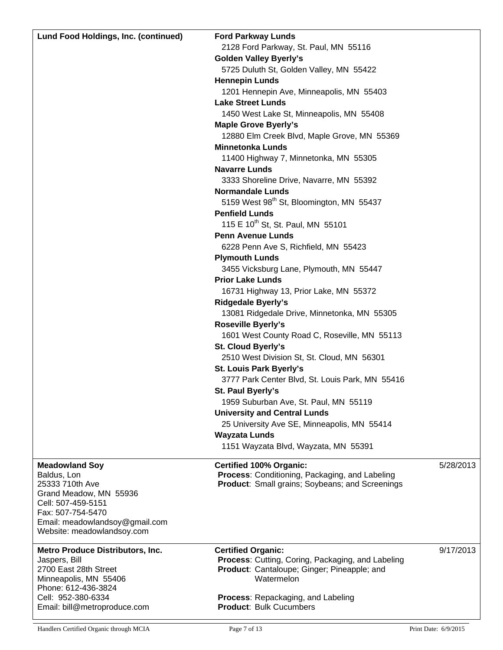| Lund Food Holdings, Inc. (continued)                                                                                                                                                         | <b>Ford Parkway Lunds</b><br>2128 Ford Parkway, St. Paul, MN 55116<br><b>Golden Valley Byerly's</b><br>5725 Duluth St, Golden Valley, MN 55422<br><b>Hennepin Lunds</b><br>1201 Hennepin Ave, Minneapolis, MN 55403<br><b>Lake Street Lunds</b><br>1450 West Lake St, Minneapolis, MN 55408<br><b>Maple Grove Byerly's</b><br>12880 Elm Creek Blvd, Maple Grove, MN 55369<br><b>Minnetonka Lunds</b><br>11400 Highway 7, Minnetonka, MN 55305<br><b>Navarre Lunds</b><br>3333 Shoreline Drive, Navarre, MN 55392<br><b>Normandale Lunds</b><br>5159 West 98 <sup>th</sup> St, Bloomington, MN 55437<br><b>Penfield Lunds</b><br>115 E 10 <sup>th</sup> St, St. Paul, MN 55101<br><b>Penn Avenue Lunds</b><br>6228 Penn Ave S, Richfield, MN 55423<br><b>Plymouth Lunds</b><br>3455 Vicksburg Lane, Plymouth, MN 55447<br><b>Prior Lake Lunds</b><br>16731 Highway 13, Prior Lake, MN 55372<br><b>Ridgedale Byerly's</b><br>13081 Ridgedale Drive, Minnetonka, MN 55305<br>Roseville Byerly's<br>1601 West County Road C, Roseville, MN 55113<br>St. Cloud Byerly's<br>2510 West Division St, St. Cloud, MN 56301<br>St. Louis Park Byerly's<br>3777 Park Center Blvd, St. Louis Park, MN 55416<br>St. Paul Byerly's<br>1959 Suburban Ave, St. Paul, MN 55119<br><b>University and Central Lunds</b><br>25 University Ave SE, Minneapolis, MN 55414<br><b>Wayzata Lunds</b><br>1151 Wayzata Blvd, Wayzata, MN 55391 |           |
|----------------------------------------------------------------------------------------------------------------------------------------------------------------------------------------------|--------------------------------------------------------------------------------------------------------------------------------------------------------------------------------------------------------------------------------------------------------------------------------------------------------------------------------------------------------------------------------------------------------------------------------------------------------------------------------------------------------------------------------------------------------------------------------------------------------------------------------------------------------------------------------------------------------------------------------------------------------------------------------------------------------------------------------------------------------------------------------------------------------------------------------------------------------------------------------------------------------------------------------------------------------------------------------------------------------------------------------------------------------------------------------------------------------------------------------------------------------------------------------------------------------------------------------------------------------------------------------------------------------------------|-----------|
| <b>Meadowland Soy</b><br>Baldus, Lon<br>25333 710th Ave<br>Grand Meadow, MN 55936<br>Cell: 507-459-5151<br>Fax: 507-754-5470<br>Email: meadowlandsoy@gmail.com<br>Website: meadowlandsoy.com | <b>Certified 100% Organic:</b><br>Process: Conditioning, Packaging, and Labeling<br><b>Product:</b> Small grains; Soybeans; and Screenings                                                                                                                                                                                                                                                                                                                                                                                                                                                                                                                                                                                                                                                                                                                                                                                                                                                                                                                                                                                                                                                                                                                                                                                                                                                                         | 5/28/2013 |
| <b>Metro Produce Distributors, Inc.</b><br>Jaspers, Bill<br>2700 East 28th Street<br>Minneapolis, MN 55406<br>Phone: 612-436-3824                                                            | <b>Certified Organic:</b><br>Process: Cutting, Coring, Packaging, and Labeling<br>Product: Cantaloupe; Ginger; Pineapple; and<br>Watermelon                                                                                                                                                                                                                                                                                                                                                                                                                                                                                                                                                                                                                                                                                                                                                                                                                                                                                                                                                                                                                                                                                                                                                                                                                                                                        | 9/17/2013 |
| Cell: 952-380-6334<br>Email: bill@metroproduce.com                                                                                                                                           | <b>Process: Repackaging, and Labeling</b><br><b>Product: Bulk Cucumbers</b>                                                                                                                                                                                                                                                                                                                                                                                                                                                                                                                                                                                                                                                                                                                                                                                                                                                                                                                                                                                                                                                                                                                                                                                                                                                                                                                                        |           |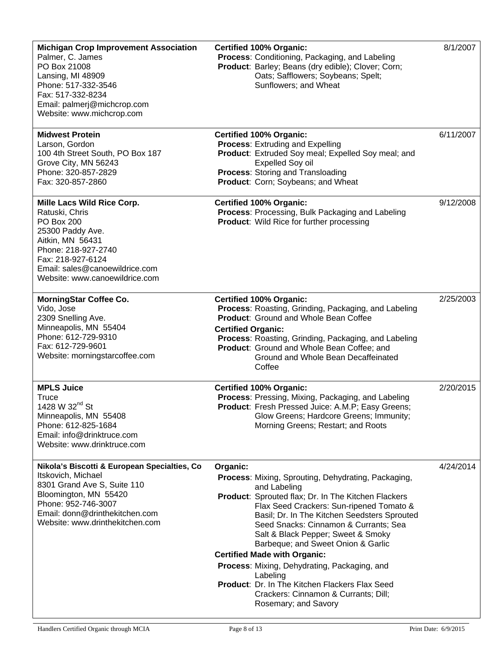| <b>Michigan Crop Improvement Association</b><br>Palmer, C. James<br>PO Box 21008<br>Lansing, MI 48909<br>Phone: 517-332-3546<br>Fax: 517-332-8234<br>Email: palmerj@michcrop.com<br>Website: www.michcrop.com          | <b>Certified 100% Organic:</b><br>Process: Conditioning, Packaging, and Labeling<br>Product: Barley; Beans (dry edible); Clover; Corn;<br>Oats; Safflowers; Soybeans; Spelt;<br>Sunflowers; and Wheat                                                                                                                                                                                                                                                                                                                                                                        | 8/1/2007  |
|------------------------------------------------------------------------------------------------------------------------------------------------------------------------------------------------------------------------|------------------------------------------------------------------------------------------------------------------------------------------------------------------------------------------------------------------------------------------------------------------------------------------------------------------------------------------------------------------------------------------------------------------------------------------------------------------------------------------------------------------------------------------------------------------------------|-----------|
| <b>Midwest Protein</b><br>Larson, Gordon<br>100 4th Street South, PO Box 187<br>Grove City, MN 56243<br>Phone: 320-857-2829<br>Fax: 320-857-2860                                                                       | <b>Certified 100% Organic:</b><br><b>Process: Extruding and Expelling</b><br>Product: Extruded Soy meal; Expelled Soy meal; and<br><b>Expelled Soy oil</b><br><b>Process: Storing and Transloading</b><br>Product: Corn; Soybeans; and Wheat                                                                                                                                                                                                                                                                                                                                 | 6/11/2007 |
| Mille Lacs Wild Rice Corp.<br>Ratuski, Chris<br>PO Box 200<br>25300 Paddy Ave.<br>Aitkin, MN 56431<br>Phone: 218-927-2740<br>Fax: 218-927-6124<br>Email: sales@canoewildrice.com<br>Website: www.canoewildrice.com     | <b>Certified 100% Organic:</b><br>Process: Processing, Bulk Packaging and Labeling<br>Product: Wild Rice for further processing                                                                                                                                                                                                                                                                                                                                                                                                                                              | 9/12/2008 |
| <b>MorningStar Coffee Co.</b><br>Vido, Jose<br>2309 Snelling Ave.<br>Minneapolis, MN 55404<br>Phone: 612-729-9310<br>Fax: 612-729-9601<br>Website: morningstarcoffee.com                                               | <b>Certified 100% Organic:</b><br>Process: Roasting, Grinding, Packaging, and Labeling<br>Product: Ground and Whole Bean Coffee<br><b>Certified Organic:</b><br>Process: Roasting, Grinding, Packaging, and Labeling<br>Product: Ground and Whole Bean Coffee; and<br>Ground and Whole Bean Decaffeinated<br>Coffee                                                                                                                                                                                                                                                          | 2/25/2003 |
| <b>MPLS Juice</b><br>Truce<br>1428 W 32 <sup>nd</sup> St<br>Minneapolis, MN 55408<br>Phone: 612-825-1684<br>Email: info@drinktruce.com<br>Website: www.drinktruce.com                                                  | <b>Certified 100% Organic:</b><br>Process: Pressing, Mixing, Packaging, and Labeling<br>Product: Fresh Pressed Juice: A.M.P; Easy Greens;<br>Glow Greens; Hardcore Greens; Immunity;<br>Morning Greens; Restart; and Roots                                                                                                                                                                                                                                                                                                                                                   | 2/20/2015 |
| Nikola's Biscotti & European Specialties, Co<br>Itskovich, Michael<br>8301 Grand Ave S, Suite 110<br>Bloomington, MN 55420<br>Phone: 952-746-3007<br>Email: donn@drinthekitchen.com<br>Website: www.drinthekitchen.com | Organic:<br>Process: Mixing, Sprouting, Dehydrating, Packaging,<br>and Labeling<br>Product: Sprouted flax; Dr. In The Kitchen Flackers<br>Flax Seed Crackers: Sun-ripened Tomato &<br>Basil; Dr. In The Kitchen Seedsters Sprouted<br>Seed Snacks: Cinnamon & Currants; Sea<br>Salt & Black Pepper; Sweet & Smoky<br>Barbeque; and Sweet Onion & Garlic<br><b>Certified Made with Organic:</b><br>Process: Mixing, Dehydrating, Packaging, and<br>Labeling<br>Product: Dr. In The Kitchen Flackers Flax Seed<br>Crackers: Cinnamon & Currants; Dill;<br>Rosemary; and Savory | 4/24/2014 |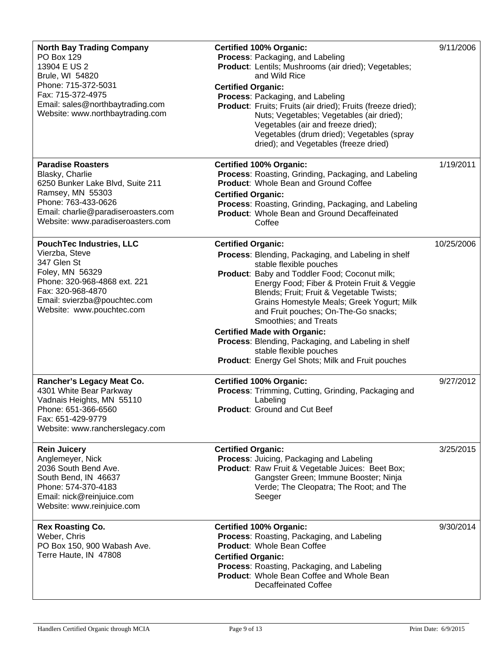| <b>North Bay Trading Company</b><br>PO Box 129<br>13904 E US 2<br>Brule, WI 54820<br>Phone: 715-372-5031<br>Fax: 715-372-4975<br>Email: sales@northbaytrading.com<br>Website: www.northbaytrading.com  | <b>Certified 100% Organic:</b><br>Process: Packaging, and Labeling<br>Product: Lentils; Mushrooms (air dried); Vegetables;<br>and Wild Rice<br><b>Certified Organic:</b><br>Process: Packaging, and Labeling<br>Product: Fruits; Fruits (air dried); Fruits (freeze dried);<br>Nuts; Vegetables; Vegetables (air dried);<br>Vegetables (air and freeze dried);<br>Vegetables (drum dried); Vegetables (spray<br>dried); and Vegetables (freeze dried)                                                                                                       | 9/11/2006  |
|--------------------------------------------------------------------------------------------------------------------------------------------------------------------------------------------------------|-------------------------------------------------------------------------------------------------------------------------------------------------------------------------------------------------------------------------------------------------------------------------------------------------------------------------------------------------------------------------------------------------------------------------------------------------------------------------------------------------------------------------------------------------------------|------------|
| <b>Paradise Roasters</b><br>Blasky, Charlie<br>6250 Bunker Lake Blvd, Suite 211<br>Ramsey, MN 55303<br>Phone: 763-433-0626<br>Email: charlie@paradiseroasters.com<br>Website: www.paradiseroasters.com | <b>Certified 100% Organic:</b><br>Process: Roasting, Grinding, Packaging, and Labeling<br>Product: Whole Bean and Ground Coffee<br><b>Certified Organic:</b><br>Process: Roasting, Grinding, Packaging, and Labeling<br><b>Product: Whole Bean and Ground Decaffeinated</b><br>Coffee                                                                                                                                                                                                                                                                       | 1/19/2011  |
| <b>PouchTec Industries, LLC</b><br>Vierzba, Steve<br>347 Glen St<br>Foley, MN 56329<br>Phone: 320-968-4868 ext. 221<br>Fax: 320-968-4870<br>Email: svierzba@pouchtec.com<br>Website: www.pouchtec.com  | <b>Certified Organic:</b><br>Process: Blending, Packaging, and Labeling in shelf<br>stable flexible pouches<br>Product: Baby and Toddler Food; Coconut milk;<br>Energy Food; Fiber & Protein Fruit & Veggie<br>Blends; Fruit; Fruit & Vegetable Twists;<br>Grains Homestyle Meals; Greek Yogurt; Milk<br>and Fruit pouches; On-The-Go snacks;<br>Smoothies; and Treats<br><b>Certified Made with Organic:</b><br>Process: Blending, Packaging, and Labeling in shelf<br>stable flexible pouches<br><b>Product:</b> Energy Gel Shots; Milk and Fruit pouches | 10/25/2006 |
| Rancher's Legacy Meat Co.<br>4301 White Bear Parkway<br>Vadnais Heights, MN 55110<br>Phone: 651-366-6560<br>Fax: 651-429-9779<br>Website: www.rancherslegacy.com                                       | <b>Certified 100% Organic:</b><br>Process: Trimming, Cutting, Grinding, Packaging and<br>Labeling<br>Product: Ground and Cut Beef                                                                                                                                                                                                                                                                                                                                                                                                                           | 9/27/2012  |
| <b>Rein Juicery</b><br>Anglemeyer, Nick<br>2036 South Bend Ave.<br>South Bend, IN 46637<br>Phone: 574-370-4183<br>Email: nick@reinjuice.com<br>Website: www.reinjuice.com                              | <b>Certified Organic:</b><br>Process: Juicing, Packaging and Labeling<br>Product: Raw Fruit & Vegetable Juices: Beet Box;<br>Gangster Green; Immune Booster; Ninja<br>Verde; The Cleopatra; The Root; and The<br>Seeger                                                                                                                                                                                                                                                                                                                                     | 3/25/2015  |
| <b>Rex Roasting Co.</b><br>Weber, Chris<br>PO Box 150, 900 Wabash Ave.<br>Terre Haute, IN 47808                                                                                                        | <b>Certified 100% Organic:</b><br>Process: Roasting, Packaging, and Labeling<br><b>Product: Whole Bean Coffee</b><br><b>Certified Organic:</b><br>Process: Roasting, Packaging, and Labeling<br><b>Product:</b> Whole Bean Coffee and Whole Bean<br><b>Decaffeinated Coffee</b>                                                                                                                                                                                                                                                                             | 9/30/2014  |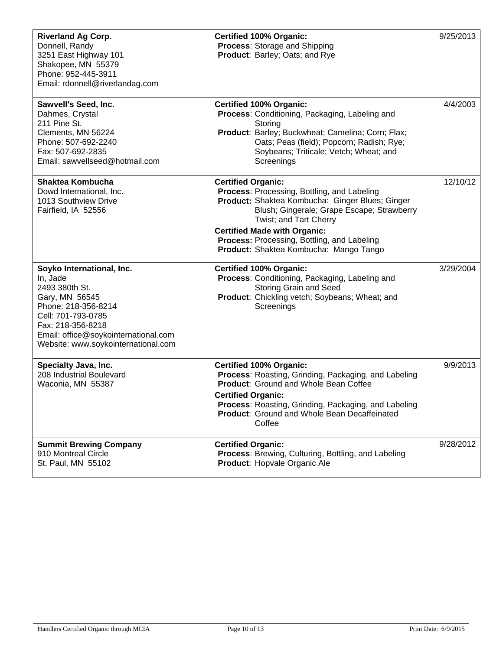| <b>Riverland Ag Corp.</b><br>Donnell, Randy<br>3251 East Highway 101<br>Shakopee, MN 55379                                                                                                                                 | <b>Certified 100% Organic:</b><br><b>Process: Storage and Shipping</b><br>Product: Barley; Oats; and Rye                                                                                                                                                                       | 9/25/2013 |
|----------------------------------------------------------------------------------------------------------------------------------------------------------------------------------------------------------------------------|--------------------------------------------------------------------------------------------------------------------------------------------------------------------------------------------------------------------------------------------------------------------------------|-----------|
| Phone: 952-445-3911<br>Email: rdonnell@riverlandag.com                                                                                                                                                                     |                                                                                                                                                                                                                                                                                |           |
| Sawvell's Seed, Inc.<br>Dahmes, Crystal<br>211 Pine St.<br>Clements, MN 56224<br>Phone: 507-692-2240<br>Fax: 507-692-2835<br>Email: sawvellseed@hotmail.com                                                                | <b>Certified 100% Organic:</b><br>Process: Conditioning, Packaging, Labeling and<br>Storing<br>Product: Barley; Buckwheat; Camelina; Corn; Flax;<br>Oats; Peas (field); Popcorn; Radish; Rye;<br>Soybeans; Triticale; Vetch; Wheat; and<br>Screenings                          | 4/4/2003  |
| Shaktea Kombucha<br>Dowd International, Inc.<br>1013 Southview Drive<br>Fairfield, IA 52556                                                                                                                                | <b>Certified Organic:</b><br>Process: Processing, Bottling, and Labeling<br>Product: Shaktea Kombucha: Ginger Blues; Ginger<br>Blush; Gingerale; Grape Escape; Strawberry<br>Twist; and Tart Cherry                                                                            | 12/10/12  |
|                                                                                                                                                                                                                            | <b>Certified Made with Organic:</b><br>Process: Processing, Bottling, and Labeling<br>Product: Shaktea Kombucha: Mango Tango                                                                                                                                                   |           |
| Soyko International, Inc.<br>In, Jade<br>2493 380th St.<br>Gary, MN 56545<br>Phone: 218-356-8214<br>Cell: 701-793-0785<br>Fax: 218-356-8218<br>Email: office@soykointernational.com<br>Website: www.soykointernational.com | <b>Certified 100% Organic:</b><br>Process: Conditioning, Packaging, Labeling and<br>Storing Grain and Seed<br>Product: Chickling vetch; Soybeans; Wheat; and<br>Screenings                                                                                                     | 3/29/2004 |
| Specialty Java, Inc.<br>208 Industrial Boulevard<br>Waconia, MN 55387                                                                                                                                                      | <b>Certified 100% Organic:</b><br>Process: Roasting, Grinding, Packaging, and Labeling<br>Product: Ground and Whole Bean Coffee<br><b>Certified Organic:</b><br>Process: Roasting, Grinding, Packaging, and Labeling<br>Product: Ground and Whole Bean Decaffeinated<br>Coffee | 9/9/2013  |
| <b>Summit Brewing Company</b><br>910 Montreal Circle<br>St. Paul, MN 55102                                                                                                                                                 | <b>Certified Organic:</b><br>Process: Brewing, Culturing, Bottling, and Labeling<br>Product: Hopvale Organic Ale                                                                                                                                                               | 9/28/2012 |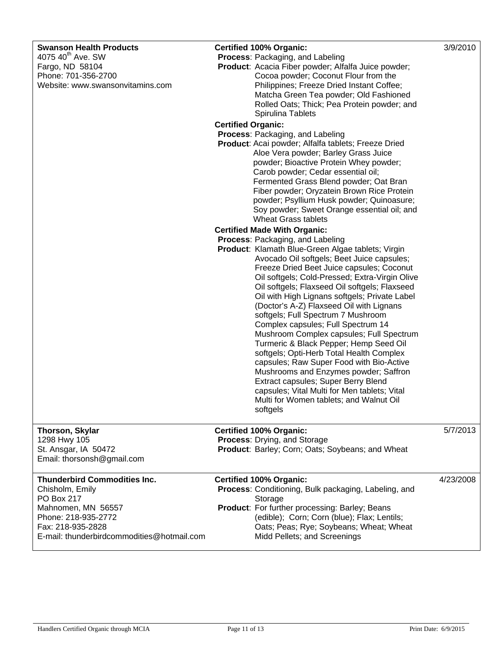| <b>Swanson Health Products</b><br>4075 40 <sup>th</sup> Ave. SW<br>Fargo, ND 58104<br>Phone: 701-356-2700<br>Website: www.swansonvitamins.com                                        | <b>Certified 100% Organic:</b><br>Process: Packaging, and Labeling<br>Product: Acacia Fiber powder; Alfalfa Juice powder;<br>Cocoa powder; Coconut Flour from the<br>Philippines; Freeze Dried Instant Coffee;<br>Matcha Green Tea powder; Old Fashioned<br>Rolled Oats; Thick; Pea Protein powder; and<br>Spirulina Tablets<br><b>Certified Organic:</b><br>Process: Packaging, and Labeling<br>Product: Acai powder; Alfalfa tablets; Freeze Dried<br>Aloe Vera powder; Barley Grass Juice<br>powder; Bioactive Protein Whey powder;<br>Carob powder; Cedar essential oil;<br>Fermented Grass Blend powder; Oat Bran<br>Fiber powder; Oryzatein Brown Rice Protein<br>powder; Psyllium Husk powder; Quinoasure;<br>Soy powder; Sweet Orange essential oil; and<br><b>Wheat Grass tablets</b> | 3/9/2010  |
|--------------------------------------------------------------------------------------------------------------------------------------------------------------------------------------|------------------------------------------------------------------------------------------------------------------------------------------------------------------------------------------------------------------------------------------------------------------------------------------------------------------------------------------------------------------------------------------------------------------------------------------------------------------------------------------------------------------------------------------------------------------------------------------------------------------------------------------------------------------------------------------------------------------------------------------------------------------------------------------------|-----------|
|                                                                                                                                                                                      | <b>Certified Made With Organic:</b><br><b>Process: Packaging, and Labeling</b><br>Product: Klamath Blue-Green Algae tablets; Virgin<br>Avocado Oil softgels; Beet Juice capsules;                                                                                                                                                                                                                                                                                                                                                                                                                                                                                                                                                                                                              |           |
|                                                                                                                                                                                      | Freeze Dried Beet Juice capsules; Coconut<br>Oil softgels; Cold-Pressed; Extra-Virgin Olive<br>Oil softgels; Flaxseed Oil softgels; Flaxseed<br>Oil with High Lignans softgels; Private Label<br>(Doctor's A-Z) Flaxseed Oil with Lignans<br>softgels; Full Spectrum 7 Mushroom<br>Complex capsules; Full Spectrum 14<br>Mushroom Complex capsules; Full Spectrum<br>Turmeric & Black Pepper; Hemp Seed Oil<br>softgels; Opti-Herb Total Health Complex<br>capsules; Raw Super Food with Bio-Active<br>Mushrooms and Enzymes powder; Saffron<br>Extract capsules; Super Berry Blend<br>capsules; Vital Multi for Men tablets; Vital                                                                                                                                                            |           |
|                                                                                                                                                                                      | Multi for Women tablets; and Walnut Oil<br>softgels                                                                                                                                                                                                                                                                                                                                                                                                                                                                                                                                                                                                                                                                                                                                            |           |
| Thorson, Skylar<br>1298 Hwy 105<br>St. Ansgar, IA 50472<br>Email: thorsonsh@gmail.com                                                                                                | <b>Certified 100% Organic:</b><br>Process: Drying, and Storage<br>Product: Barley; Corn; Oats; Soybeans; and Wheat                                                                                                                                                                                                                                                                                                                                                                                                                                                                                                                                                                                                                                                                             | 5/7/2013  |
| <b>Thunderbird Commodities Inc.</b><br>Chisholm, Emily<br>PO Box 217<br>Mahnomen, MN 56557<br>Phone: 218-935-2772<br>Fax: 218-935-2828<br>E-mail: thunderbirdcommodities@hotmail.com | <b>Certified 100% Organic:</b><br>Process: Conditioning, Bulk packaging, Labeling, and<br>Storage<br>Product: For further processing: Barley; Beans<br>(edible); Corn; Corn (blue); Flax; Lentils;<br>Oats; Peas; Rye; Soybeans; Wheat; Wheat<br>Midd Pellets; and Screenings                                                                                                                                                                                                                                                                                                                                                                                                                                                                                                                  | 4/23/2008 |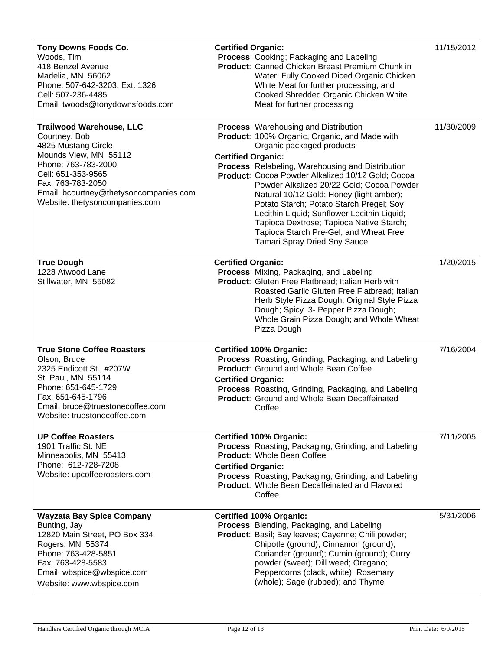| Tony Downs Foods Co.<br>Woods, Tim<br>418 Benzel Avenue<br>Madelia, MN 56062<br>Phone: 507-642-3203, Ext. 1326<br>Cell: 507-236-4485<br>Email: twoods@tonydownsfoods.com                                                                       | <b>Certified Organic:</b><br>Process: Cooking; Packaging and Labeling<br>Product: Canned Chicken Breast Premium Chunk in<br>Water; Fully Cooked Diced Organic Chicken<br>White Meat for further processing; and<br>Cooked Shredded Organic Chicken White<br>Meat for further processing                                                                                                                                                                                                                                                                                     | 11/15/2012 |
|------------------------------------------------------------------------------------------------------------------------------------------------------------------------------------------------------------------------------------------------|-----------------------------------------------------------------------------------------------------------------------------------------------------------------------------------------------------------------------------------------------------------------------------------------------------------------------------------------------------------------------------------------------------------------------------------------------------------------------------------------------------------------------------------------------------------------------------|------------|
| <b>Trailwood Warehouse, LLC</b><br>Courtney, Bob<br>4825 Mustang Circle<br>Mounds View, MN 55112<br>Phone: 763-783-2000<br>Cell: 651-353-9565<br>Fax: 763-783-2050<br>Email: bcourtney@thetysoncompanies.com<br>Website: thetysoncompanies.com | Process: Warehousing and Distribution<br>Product: 100% Organic, Organic, and Made with<br>Organic packaged products<br><b>Certified Organic:</b><br>Process: Relabeling, Warehousing and Distribution<br>Product: Cocoa Powder Alkalized 10/12 Gold; Cocoa<br>Powder Alkalized 20/22 Gold; Cocoa Powder<br>Natural 10/12 Gold; Honey (light amber);<br>Potato Starch; Potato Starch Pregel; Soy<br>Lecithin Liquid; Sunflower Lecithin Liquid;<br>Tapioca Dextrose; Tapioca Native Starch;<br>Tapioca Starch Pre-Gel; and Wheat Free<br><b>Tamari Spray Dried Soy Sauce</b> | 11/30/2009 |
| <b>True Dough</b><br>1228 Atwood Lane<br>Stillwater, MN 55082                                                                                                                                                                                  | <b>Certified Organic:</b><br>Process: Mixing, Packaging, and Labeling<br>Product: Gluten Free Flatbread; Italian Herb with<br>Roasted Garlic Gluten Free Flatbread; Italian<br>Herb Style Pizza Dough; Original Style Pizza<br>Dough; Spicy 3- Pepper Pizza Dough;<br>Whole Grain Pizza Dough; and Whole Wheat<br>Pizza Dough                                                                                                                                                                                                                                               | 1/20/2015  |
| <b>True Stone Coffee Roasters</b><br>Olson, Bruce<br>2325 Endicott St., #207W<br>St. Paul, MN 55114<br>Phone: 651-645-1729<br>Fax: 651-645-1796<br>Email: bruce@truestonecoffee.com<br>Website: truestonecoffee.com                            | <b>Certified 100% Organic:</b><br>Process: Roasting, Grinding, Packaging, and Labeling<br>Product: Ground and Whole Bean Coffee<br><b>Certified Organic:</b><br>Process: Roasting, Grinding, Packaging, and Labeling<br>Product: Ground and Whole Bean Decaffeinated<br>Coffee                                                                                                                                                                                                                                                                                              | 7/16/2004  |
| <b>UP Coffee Roasters</b><br>1901 Traffic St. NE<br>Minneapolis, MN 55413<br>Phone: 612-728-7208<br>Website: upcoffeeroasters.com                                                                                                              | <b>Certified 100% Organic:</b><br>Process: Roasting, Packaging, Grinding, and Labeling<br><b>Product: Whole Bean Coffee</b><br><b>Certified Organic:</b><br>Process: Roasting, Packaging, Grinding, and Labeling<br>Product: Whole Bean Decaffeinated and Flavored<br>Coffee                                                                                                                                                                                                                                                                                                | 7/11/2005  |
| <b>Wayzata Bay Spice Company</b><br>Bunting, Jay<br>12820 Main Street, PO Box 334<br>Rogers, MN 55374<br>Phone: 763-428-5851<br>Fax: 763-428-5583<br>Email: wbspice@wbspice.com<br>Website: www.wbspice.com                                    | <b>Certified 100% Organic:</b><br>Process: Blending, Packaging, and Labeling<br>Product: Basil; Bay leaves; Cayenne; Chili powder;<br>Chipotle (ground); Cinnamon (ground);<br>Coriander (ground); Cumin (ground); Curry<br>powder (sweet); Dill weed; Oregano;<br>Peppercorns (black, white); Rosemary<br>(whole); Sage (rubbed); and Thyme                                                                                                                                                                                                                                | 5/31/2006  |